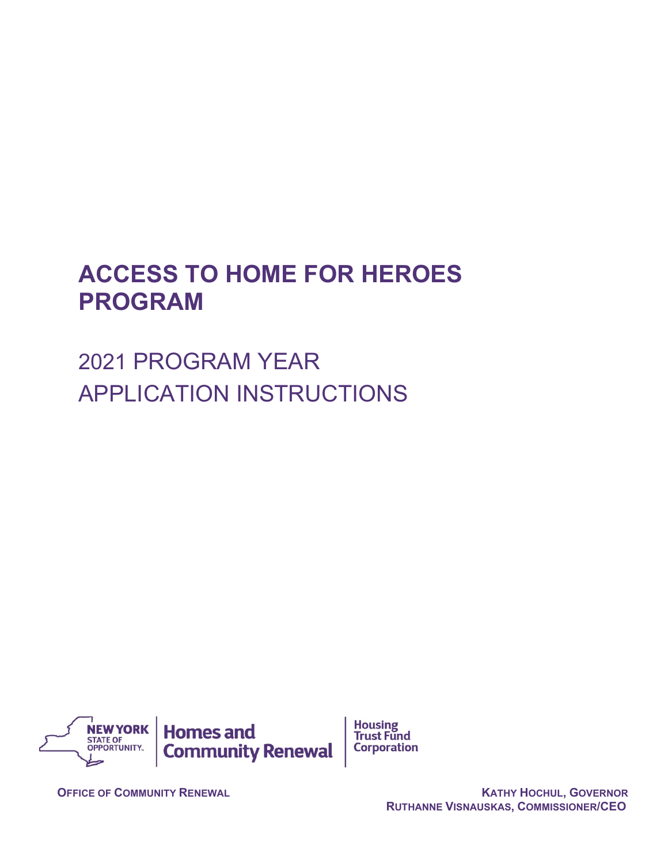# **ACCESS TO HOME FOR HEROES PROGRAM**

2021 PROGRAM YEAR APPLICATION INSTRUCTIONS



**OFFICE OF COMMUNITY RENEWAL CONTRACTED ASSESSED ASSOCIATES AND MATHY HOCHUL, GOVERNOR RUTHANNE VISNAUSKAS, COMMISSIONER/CEO**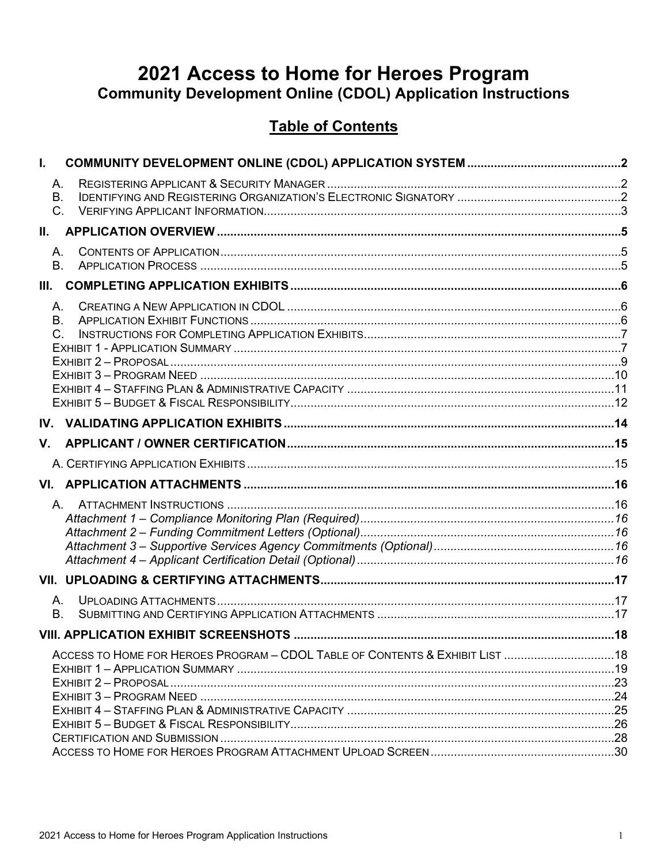# 2021 Access to Home for Heroes Program **Community Development Online (CDOL) Application Instructions**

# **Table of Contents**

| $\mathbf{I}$ . |                                                                               |  |
|----------------|-------------------------------------------------------------------------------|--|
|                | А.                                                                            |  |
|                | В.                                                                            |  |
|                | $C_{-}$                                                                       |  |
| H.             |                                                                               |  |
|                | А.                                                                            |  |
|                | <b>B.</b>                                                                     |  |
| III.           |                                                                               |  |
|                | А.                                                                            |  |
|                | <b>B.</b>                                                                     |  |
|                | $C_{1}$                                                                       |  |
|                |                                                                               |  |
|                |                                                                               |  |
|                |                                                                               |  |
|                |                                                                               |  |
|                |                                                                               |  |
| V.             |                                                                               |  |
|                |                                                                               |  |
|                |                                                                               |  |
|                |                                                                               |  |
|                |                                                                               |  |
|                |                                                                               |  |
|                |                                                                               |  |
|                |                                                                               |  |
|                |                                                                               |  |
|                | А.                                                                            |  |
| <b>B.</b>      |                                                                               |  |
|                |                                                                               |  |
|                | ACCESS TO HOME FOR HEROES PROGRAM - CDOL TABLE OF CONTENTS & EXHIBIT LIST  18 |  |
|                |                                                                               |  |
|                |                                                                               |  |
|                |                                                                               |  |
|                |                                                                               |  |
|                |                                                                               |  |
|                |                                                                               |  |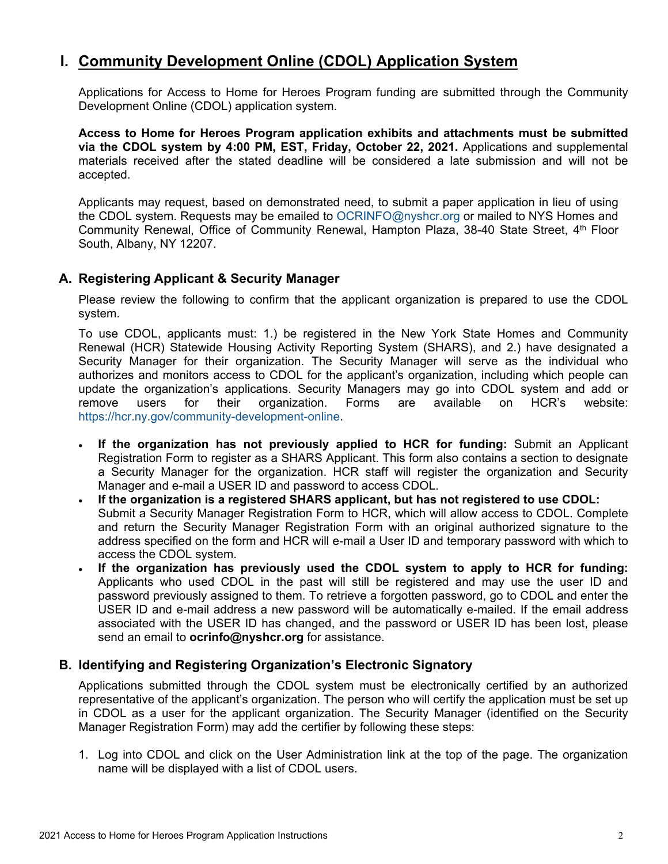# <span id="page-2-0"></span>**I. Community Development Online (CDOL) Application System**

Applications for Access to Home for Heroes Program funding are submitted through the Community Development Online (CDOL) application system.

**Access to Home for Heroes Program application exhibits and attachments must be submitted via the CDOL system by 4:00 PM, EST, Friday, October 22, 2021.** Applications and supplemental materials received after the stated deadline will be considered a late submission and will not be accepted.

Applicants may request, based on demonstrated need, to submit a paper application in lieu of using the CDOL system. Requests may be emailed to [OCRINFO@nyshcr.org](mailto:nyshcr.sm.ocrinfo%20%3cocrinfo@nyshcr.org%3e) or mailed to NYS Homes and Community Renewal, Office of Community Renewal, Hampton Plaza, 38-40 State Street, 4<sup>th</sup> Floor South, Albany, NY 12207.

### <span id="page-2-1"></span>**A. Registering Applicant & Security Manager**

Please review the following to confirm that the applicant organization is prepared to use the CDOL system.

To use CDOL, applicants must: 1.) be registered in the New York State Homes and Community Renewal (HCR) Statewide Housing Activity Reporting System (SHARS), and 2.) have designated a Security Manager for their organization. The Security Manager will serve as the individual who authorizes and monitors access to CDOL for the applicant's organization, including which people can update the organization's applications. Security Managers may go into CDOL system and add or remove users for their organization. Forms are available on HCR's website: [https://hcr.ny.gov/community-development-online.](https://hcr.ny.gov/community-development-online)

- **If the organization has not previously applied to HCR for funding:** Submit an Applicant Registration Form to register as a SHARS Applicant. This form also contains a section to designate a Security Manager for the organization. HCR staff will register the organization and Security Manager and e-mail a USER ID and password to access CDOL.
- **If the organization is a registered SHARS applicant, but has not registered to use CDOL:** Submit a Security Manager Registration Form to HCR, which will allow access to CDOL. Complete and return the Security Manager Registration Form with an original authorized signature to the address specified on the form and HCR will e-mail a User ID and temporary password with which to access the CDOL system.
- **If the organization has previously used the CDOL system to apply to HCR for funding:**  Applicants who used CDOL in the past will still be registered and may use the user ID and password previously assigned to them. To retrieve a forgotten password, go to CDOL and enter the USER ID and e-mail address a new password will be automatically e-mailed. If the email address associated with the USER ID has changed, and the password or USER ID has been lost, please send an email to **ocrinfo@nyshcr.org** for assistance.

# <span id="page-2-2"></span>**B. Identifying and Registering Organization's Electronic Signatory**

Applications submitted through the CDOL system must be electronically certified by an authorized representative of the applicant's organization. The person who will certify the application must be set up in CDOL as a user for the applicant organization. The Security Manager (identified on the Security Manager Registration Form) may add the certifier by following these steps:

1. Log into CDOL and click on the User Administration link at the top of the page. The organization name will be displayed with a list of CDOL users.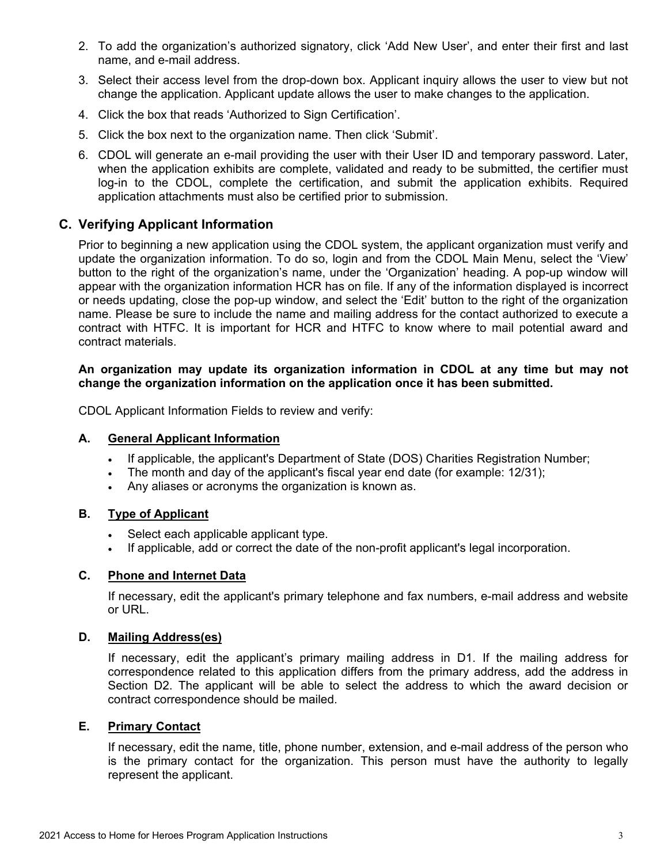- 2. To add the organization's authorized signatory, click 'Add New User', and enter their first and last name, and e-mail address.
- 3. Select their access level from the drop-down box. Applicant inquiry allows the user to view but not change the application. Applicant update allows the user to make changes to the application.
- 4. Click the box that reads 'Authorized to Sign Certification'.
- 5. Click the box next to the organization name. Then click 'Submit'.
- 6. CDOL will generate an e-mail providing the user with their User ID and temporary password. Later, when the application exhibits are complete, validated and ready to be submitted, the certifier must log-in to the CDOL, complete the certification, and submit the application exhibits. Required application attachments must also be certified prior to submission.

### <span id="page-3-0"></span>**C. Verifying Applicant Information**

Prior to beginning a new application using the CDOL system, the applicant organization must verify and update the organization information. To do so, login and from the CDOL Main Menu, select the 'View' button to the right of the organization's name, under the 'Organization' heading. A pop-up window will appear with the organization information HCR has on file. If any of the information displayed is incorrect or needs updating, close the pop-up window, and select the 'Edit' button to the right of the organization name. Please be sure to include the name and mailing address for the contact authorized to execute a contract with HTFC. It is important for HCR and HTFC to know where to mail potential award and contract materials.

### **An organization may update its organization information in CDOL at any time but may not change the organization information on the application once it has been submitted.**

CDOL Applicant Information Fields to review and verify:

### **A. General Applicant Information**

- If applicable, the applicant's Department of State (DOS) Charities Registration Number;
- The month and day of the applicant's fiscal year end date (for example: 12/31);
- Any aliases or acronyms the organization is known as.

### **B. Type of Applicant**

- Select each applicable applicant type.
- If applicable, add or correct the date of the non-profit applicant's legal incorporation.

### **C. Phone and Internet Data**

If necessary, edit the applicant's primary telephone and fax numbers, e-mail address and website or URL.

### **D. Mailing Address(es)**

If necessary, edit the applicant's primary mailing address in D1. If the mailing address for correspondence related to this application differs from the primary address, add the address in Section D2. The applicant will be able to select the address to which the award decision or contract correspondence should be mailed.

### **E. Primary Contact**

If necessary, edit the name, title, phone number, extension, and e-mail address of the person who is the primary contact for the organization. This person must have the authority to legally represent the applicant.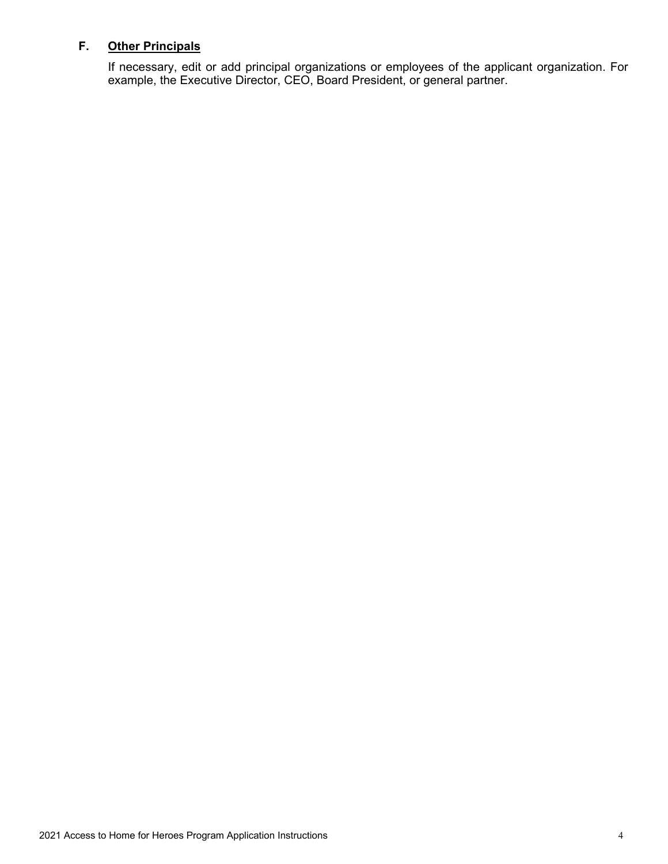# **F. Other Principals**

If necessary, edit or add principal organizations or employees of the applicant organization. For example, the Executive Director, CEO, Board President, or general partner.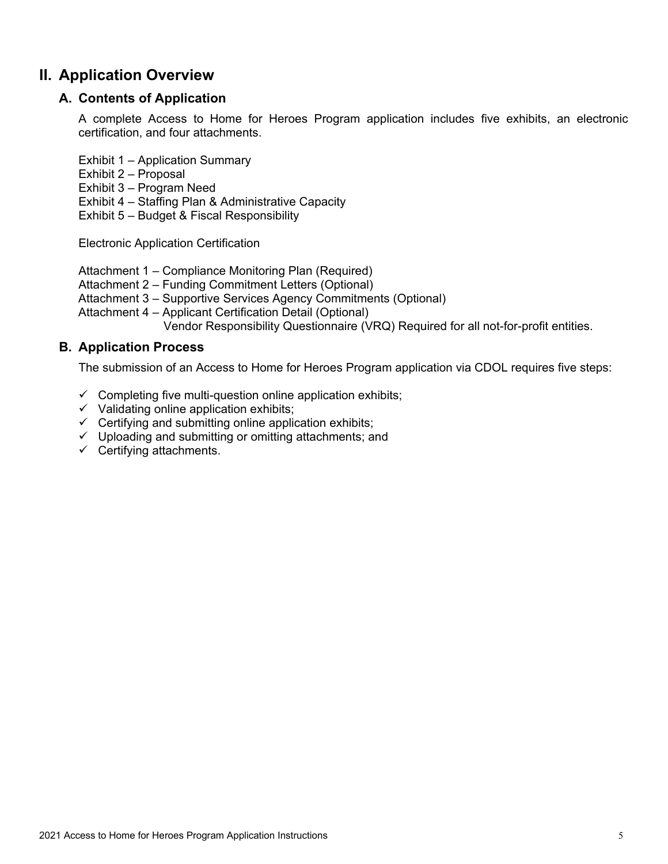# <span id="page-5-1"></span><span id="page-5-0"></span>**II. Application Overview**

# **A. Contents of Application**

A complete Access to Home for Heroes Program application includes five exhibits, an electronic certification, and four attachments.

Exhibit 1 – Application Summary

- Exhibit 2 Proposal
- Exhibit 3 Program Need
- Exhibit 4 Staffing Plan & Administrative Capacity

Exhibit 5 – Budget & Fiscal Responsibility

Electronic Application Certification

Attachment 1 – Compliance Monitoring Plan (Required)

Attachment 2 – Funding Commitment Letters (Optional)

Attachment 3 – Supportive Services Agency Commitments (Optional)

Attachment 4 – Applicant Certification Detail (Optional)

Vendor Responsibility Questionnaire (VRQ) Required for all not-for-profit entities.

# <span id="page-5-2"></span>**B. Application Process**

The submission of an Access to Home for Heroes Program application via CDOL requires five steps:

- $\checkmark$  Completing five multi-question online application exhibits;
- $\checkmark$  Validating online application exhibits;
- $\checkmark$  Certifying and submitting online application exhibits;
- $\checkmark$  Uploading and submitting or omitting attachments; and
- $\checkmark$  Certifying attachments.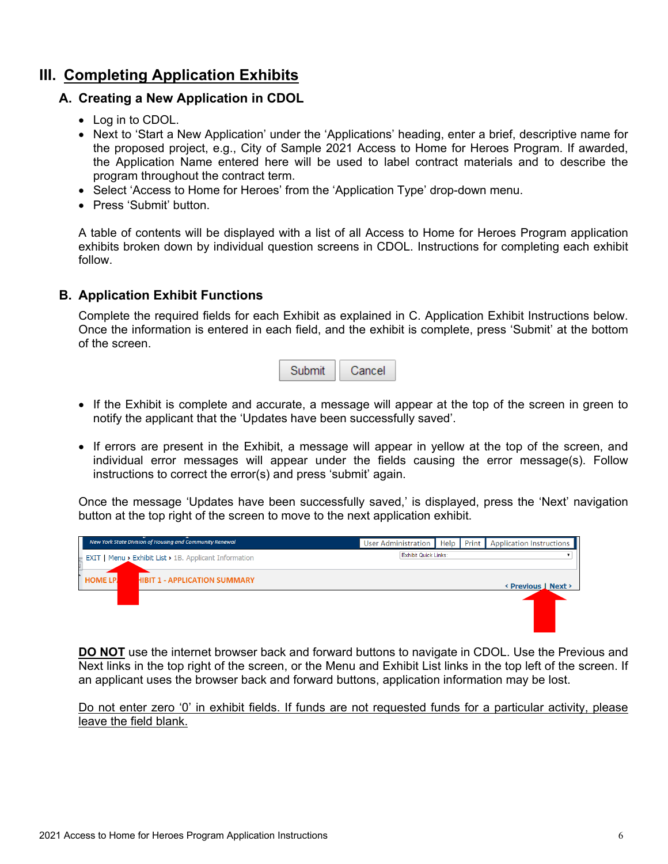# <span id="page-6-1"></span><span id="page-6-0"></span>**III. Completing Application Exhibits**

# **A. Creating a New Application in CDOL**

- Log in to CDOL.
- Next to 'Start a New Application' under the 'Applications' heading, enter a brief, descriptive name for the proposed project, e.g., City of Sample 2021 Access to Home for Heroes Program. If awarded, the Application Name entered here will be used to label contract materials and to describe the program throughout the contract term.
- Select 'Access to Home for Heroes' from the 'Application Type' drop-down menu.
- Press 'Submit' button.

A table of contents will be displayed with a list of all Access to Home for Heroes Program application exhibits broken down by individual question screens in CDOL. Instructions for completing each exhibit follow.

### <span id="page-6-2"></span>**B. Application Exhibit Functions**

Complete the required fields for each Exhibit as explained in C. Application Exhibit Instructions below. Once the information is entered in each field, and the exhibit is complete, press 'Submit' at the bottom of the screen.



- If the Exhibit is complete and accurate, a message will appear at the top of the screen in green to notify the applicant that the 'Updates have been successfully saved'.
- If errors are present in the Exhibit, a message will appear in yellow at the top of the screen, and individual error messages will appear under the fields causing the error message(s). Follow instructions to correct the error(s) and press 'submit' again.

Once the message 'Updates have been successfully saved,' is displayed, press the 'Next' navigation button at the top right of the screen to move to the next application exhibit.



**DO NOT** use the internet browser back and forward buttons to navigate in CDOL. Use the Previous and Next links in the top right of the screen, or the Menu and Exhibit List links in the top left of the screen. If an applicant uses the browser back and forward buttons, application information may be lost.

Do not enter zero '0' in exhibit fields. If funds are not requested funds for a particular activity, please leave the field blank.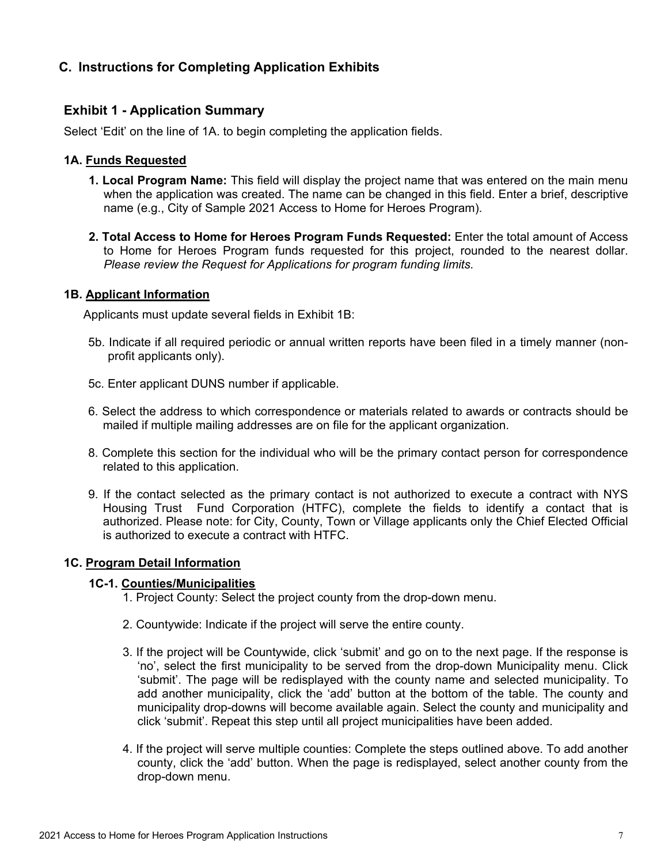# <span id="page-7-1"></span><span id="page-7-0"></span>**C. Instructions for Completing Application Exhibits**

### **Exhibit 1 - Application Summary**

Select 'Edit' on the line of 1A. to begin completing the application fields.

### **1A. Funds Requested**

- **1. Local Program Name:** This field will display the project name that was entered on the main menu when the application was created. The name can be changed in this field. Enter a brief, descriptive name (e.g., City of Sample 2021 Access to Home for Heroes Program).
- **2. Total Access to Home for Heroes Program Funds Requested:** Enter the total amount of Access to Home for Heroes Program funds requested for this project, rounded to the nearest dollar. *Please review the Request for Applications for program funding limits.*

### **1B. Applicant Information**

Applicants must update several fields in Exhibit 1B:

- 5b. Indicate if all required periodic or annual written reports have been filed in a timely manner (nonprofit applicants only).
- 5c. Enter applicant DUNS number if applicable.
- 6. Select the address to which correspondence or materials related to awards or contracts should be mailed if multiple mailing addresses are on file for the applicant organization.
- 8. Complete this section for the individual who will be the primary contact person for correspondence related to this application.
- 9. If the contact selected as the primary contact is not authorized to execute a contract with NYS Housing Trust Fund Corporation (HTFC), complete the fields to identify a contact that is authorized. Please note: for City, County, Town or Village applicants only the Chief Elected Official is authorized to execute a contract with HTFC.

### **1C. Program Detail Information**

### **1C-1. Counties/Municipalities**

- 1. Project County: Select the project county from the drop-down menu.
- 2. Countywide: Indicate if the project will serve the entire county.
- 3. If the project will be Countywide, click 'submit' and go on to the next page. If the response is 'no', select the first municipality to be served from the drop-down Municipality menu. Click 'submit'. The page will be redisplayed with the county name and selected municipality. To add another municipality, click the 'add' button at the bottom of the table. The county and municipality drop-downs will become available again. Select the county and municipality and click 'submit'. Repeat this step until all project municipalities have been added.
- 4. If the project will serve multiple counties: Complete the steps outlined above. To add another county, click the 'add' button. When the page is redisplayed, select another county from the drop-down menu.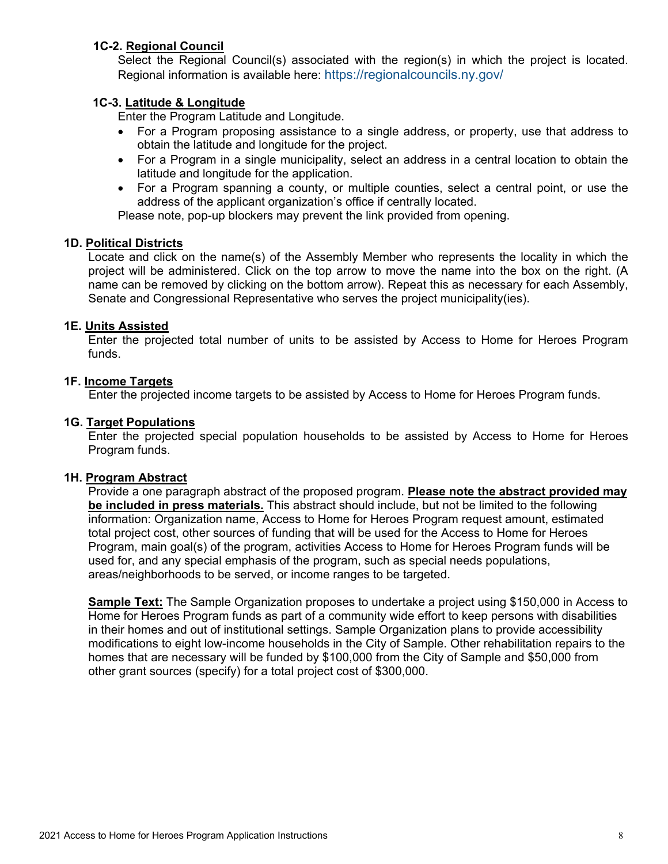### **1C-2. Regional Council**

Select the Regional Council(s) associated with the region(s) in which the project is located. Regional information is available here:<https://regionalcouncils.ny.gov/>

### **1C-3. Latitude & Longitude**

Enter the Program Latitude and Longitude.

- For a Program proposing assistance to a single address, or property, use that address to obtain the latitude and longitude for the project.
- For a Program in a single municipality, select an address in a central location to obtain the latitude and longitude for the application.
- For a Program spanning a county, or multiple counties, select a central point, or use the address of the applicant organization's office if centrally located.

Please note, pop-up blockers may prevent the link provided from opening.

### **1D. Political Districts**

Locate and click on the name(s) of the Assembly Member who represents the locality in which the project will be administered. Click on the top arrow to move the name into the box on the right. (A name can be removed by clicking on the bottom arrow). Repeat this as necessary for each Assembly, Senate and Congressional Representative who serves the project municipality(ies).

### **1E. Units Assisted**

Enter the projected total number of units to be assisted by Access to Home for Heroes Program funds.

### **1F. Income Targets**

Enter the projected income targets to be assisted by Access to Home for Heroes Program funds.

### **1G. Target Populations**

Enter the projected special population households to be assisted by Access to Home for Heroes Program funds.

### **1H. Program Abstract**

Provide a one paragraph abstract of the proposed program. **Please note the abstract provided may be included in press materials.** This abstract should include, but not be limited to the following information: Organization name, Access to Home for Heroes Program request amount, estimated total project cost, other sources of funding that will be used for the Access to Home for Heroes Program, main goal(s) of the program, activities Access to Home for Heroes Program funds will be used for, and any special emphasis of the program, such as special needs populations, areas/neighborhoods to be served, or income ranges to be targeted.

**Sample Text:** The Sample Organization proposes to undertake a project using \$150,000 in Access to Home for Heroes Program funds as part of a community wide effort to keep persons with disabilities in their homes and out of institutional settings. Sample Organization plans to provide accessibility modifications to eight low-income households in the City of Sample. Other rehabilitation repairs to the homes that are necessary will be funded by \$100,000 from the City of Sample and \$50,000 from other grant sources (specify) for a total project cost of \$300,000.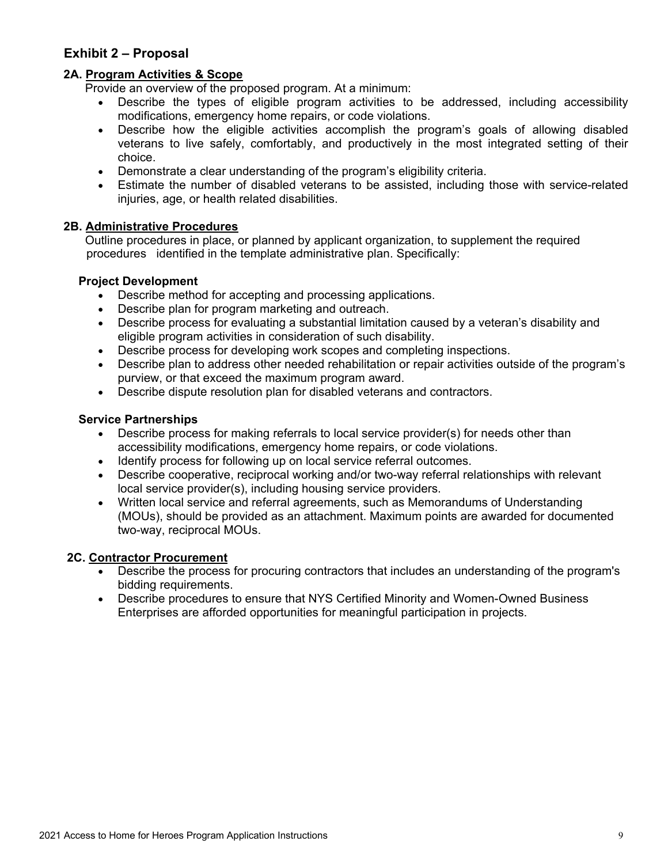# <span id="page-9-0"></span>**Exhibit 2 – Proposal**

### **2A. Program Activities & Scope**

Provide an overview of the proposed program. At a minimum:

- Describe the types of eligible program activities to be addressed, including accessibility modifications, emergency home repairs, or code violations.
- Describe how the eligible activities accomplish the program's goals of allowing disabled veterans to live safely, comfortably, and productively in the most integrated setting of their choice.
- Demonstrate a clear understanding of the program's eligibility criteria.
- Estimate the number of disabled veterans to be assisted, including those with service-related injuries, age, or health related disabilities.

### **2B. Administrative Procedures**

Outline procedures in place, or planned by applicant organization, to supplement the required procedures identified in the template administrative plan. Specifically:

### **Project Development**

- Describe method for accepting and processing applications.
- Describe plan for program marketing and outreach.
- Describe process for evaluating a substantial limitation caused by a veteran's disability and eligible program activities in consideration of such disability.
- Describe process for developing work scopes and completing inspections.
- Describe plan to address other needed rehabilitation or repair activities outside of the program's purview, or that exceed the maximum program award.
- Describe dispute resolution plan for disabled veterans and contractors.

### **Service Partnerships**

- Describe process for making referrals to local service provider(s) for needs other than accessibility modifications, emergency home repairs, or code violations.
- Identify process for following up on local service referral outcomes.
- Describe cooperative, reciprocal working and/or two-way referral relationships with relevant local service provider(s), including housing service providers.
- Written local service and referral agreements, such as Memorandums of Understanding (MOUs), should be provided as an attachment. Maximum points are awarded for documented two-way, reciprocal MOUs.

### **2C. Contractor Procurement**

- Describe the process for procuring contractors that includes an understanding of the program's bidding requirements.
- Describe procedures to ensure that NYS Certified Minority and Women-Owned Business Enterprises are afforded opportunities for meaningful participation in projects.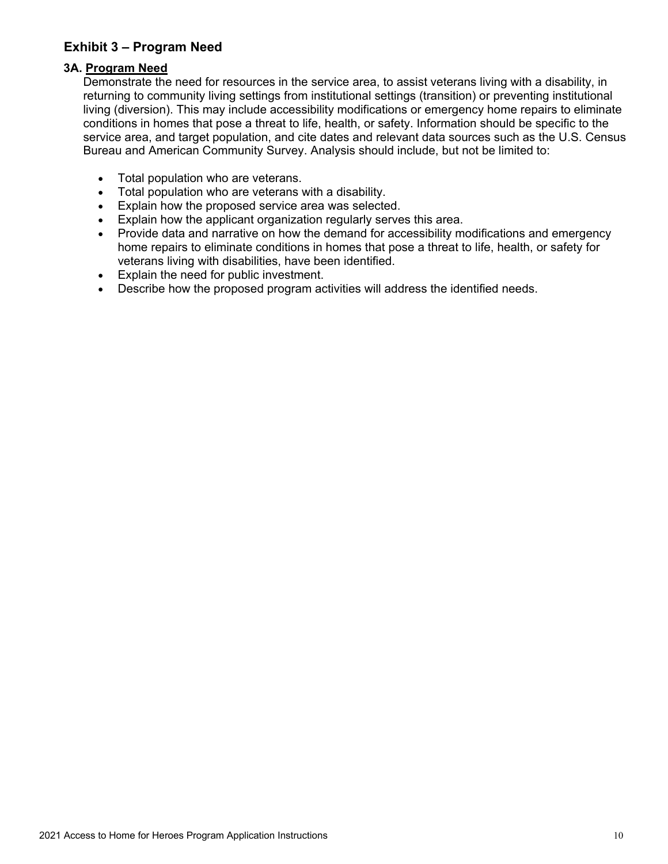# <span id="page-10-0"></span>**Exhibit 3 – Program Need**

# **3A. Program Need**

Demonstrate the need for resources in the service area, to assist veterans living with a disability, in returning to community living settings from institutional settings (transition) or preventing institutional living (diversion). This may include accessibility modifications or emergency home repairs to eliminate conditions in homes that pose a threat to life, health, or safety. Information should be specific to the service area, and target population, and cite dates and relevant data sources such as the U.S. Census Bureau and American Community Survey. Analysis should include, but not be limited to:

- Total population who are veterans.
- Total population who are veterans with a disability.
- Explain how the proposed service area was selected.
- Explain how the applicant organization regularly serves this area.
- Provide data and narrative on how the demand for accessibility modifications and emergency home repairs to eliminate conditions in homes that pose a threat to life, health, or safety for veterans living with disabilities, have been identified.
- Explain the need for public investment.
- Describe how the proposed program activities will address the identified needs.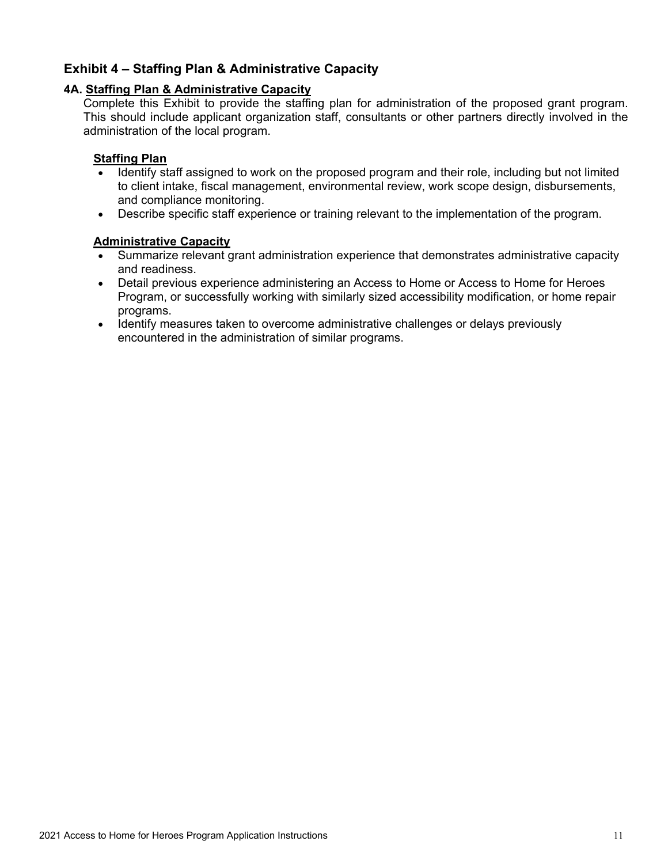# <span id="page-11-0"></span>**Exhibit 4 – Staffing Plan & Administrative Capacity**

### **4A. Staffing Plan & Administrative Capacity**

Complete this Exhibit to provide the staffing plan for administration of the proposed grant program. This should include applicant organization staff, consultants or other partners directly involved in the administration of the local program.

### **Staffing Plan**

- Identify staff assigned to work on the proposed program and their role, including but not limited to client intake, fiscal management, environmental review, work scope design, disbursements, and compliance monitoring.
- Describe specific staff experience or training relevant to the implementation of the program.

### **Administrative Capacity**

- Summarize relevant grant administration experience that demonstrates administrative capacity and readiness.
- Detail previous experience administering an Access to Home or Access to Home for Heroes Program, or successfully working with similarly sized accessibility modification, or home repair programs.
- Identify measures taken to overcome administrative challenges or delays previously encountered in the administration of similar programs.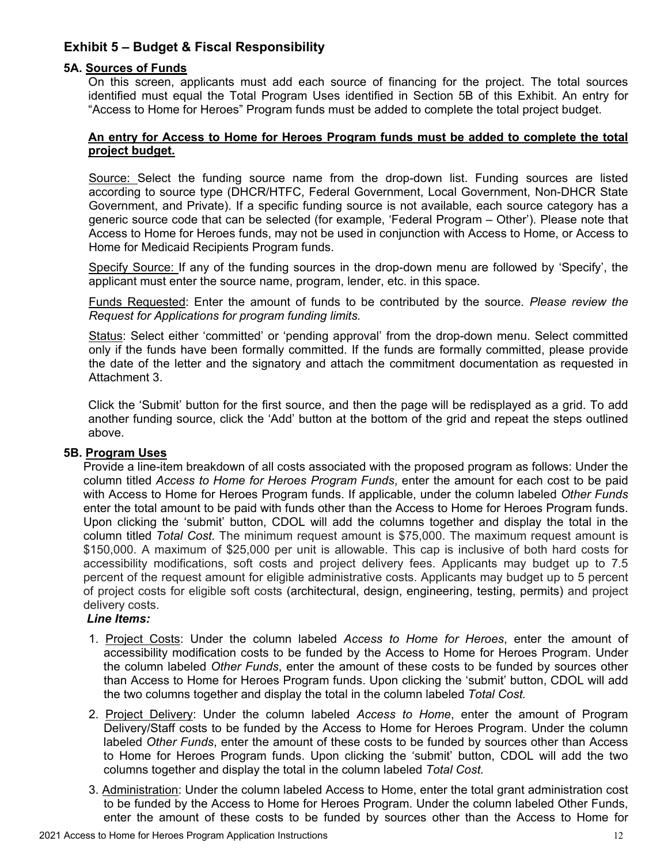# <span id="page-12-0"></span>**Exhibit 5 – Budget & Fiscal Responsibility**

### **5A. Sources of Funds**

On this screen, applicants must add each source of financing for the project. The total sources identified must equal the Total Program Uses identified in Section 5B of this Exhibit. An entry for "Access to Home for Heroes" Program funds must be added to complete the total project budget.

### **An entry for Access to Home for Heroes Program funds must be added to complete the total project budget.**

Source: Select the funding source name from the drop-down list. Funding sources are listed according to source type (DHCR/HTFC, Federal Government, Local Government, Non-DHCR State Government, and Private). If a specific funding source is not available, each source category has a generic source code that can be selected (for example, 'Federal Program – Other'). Please note that Access to Home for Heroes funds, may not be used in conjunction with Access to Home, or Access to Home for Medicaid Recipients Program funds.

Specify Source: If any of the funding sources in the drop-down menu are followed by 'Specify', the applicant must enter the source name, program, lender, etc. in this space.

Funds Requested: Enter the amount of funds to be contributed by the source. *Please review the Request for Applications for program funding limits.*

Status: Select either 'committed' or 'pending approval' from the drop-down menu. Select committed only if the funds have been formally committed. If the funds are formally committed, please provide the date of the letter and the signatory and attach the commitment documentation as requested in Attachment 3.

Click the 'Submit' button for the first source, and then the page will be redisplayed as a grid. To add another funding source, click the 'Add' button at the bottom of the grid and repeat the steps outlined above.

### **5B. Program Uses**

Provide a line-item breakdown of all costs associated with the proposed program as follows: Under the column titled *Access to Home for Heroes Program Funds*, enter the amount for each cost to be paid with Access to Home for Heroes Program funds. If applicable, under the column labeled *Other Funds* enter the total amount to be paid with funds other than the Access to Home for Heroes Program funds. Upon clicking the 'submit' button, CDOL will add the columns together and display the total in the column titled *Total Cost*. The minimum request amount is \$75,000. The maximum request amount is \$150,000. A maximum of \$25,000 per unit is allowable. This cap is inclusive of both hard costs for accessibility modifications, soft costs and project delivery fees. Applicants may budget up to 7.5 percent of the request amount for eligible administrative costs. Applicants may budget up to 5 percent of project costs for eligible soft costs (architectural, design, engineering, testing, permits) and project delivery costs.

## *Line Items:*

- 1. Project Costs: Under the column labeled *Access to Home for Heroes*, enter the amount of accessibility modification costs to be funded by the Access to Home for Heroes Program. Under the column labeled *Other Funds*, enter the amount of these costs to be funded by sources other than Access to Home for Heroes Program funds. Upon clicking the 'submit' button, CDOL will add the two columns together and display the total in the column labeled *Total Cost.*
- 2. Project Delivery: Under the column labeled *Access to Home*, enter the amount of Program Delivery/Staff costs to be funded by the Access to Home for Heroes Program. Under the column labeled *Other Funds*, enter the amount of these costs to be funded by sources other than Access to Home for Heroes Program funds. Upon clicking the 'submit' button, CDOL will add the two columns together and display the total in the column labeled *Total Cost.*
- 3. Administration: Under the column labeled Access to Home, enter the total grant administration cost to be funded by the Access to Home for Heroes Program. Under the column labeled Other Funds, enter the amount of these costs to be funded by sources other than the Access to Home for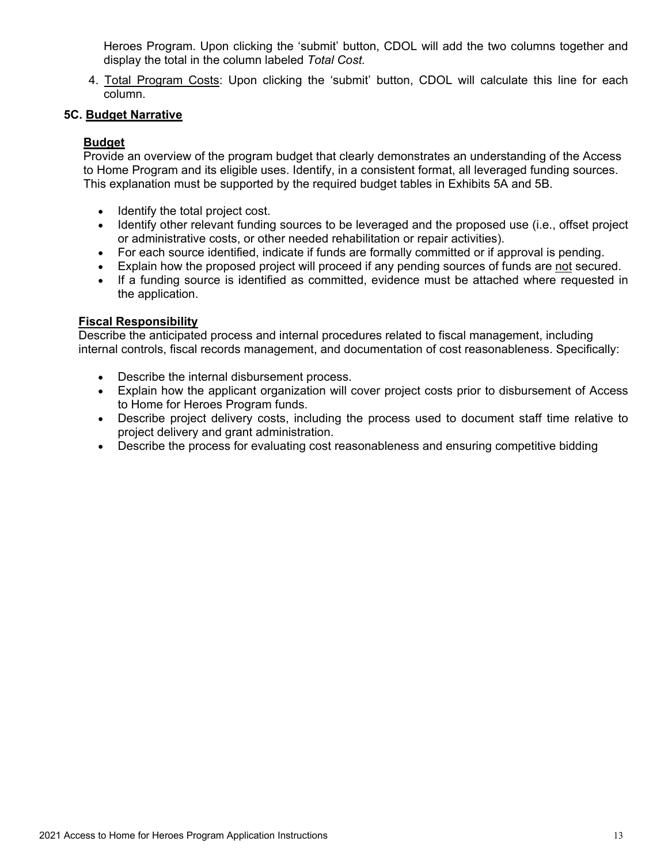Heroes Program. Upon clicking the 'submit' button, CDOL will add the two columns together and display the total in the column labeled *Total Cost.*

4. Total Program Costs: Upon clicking the 'submit' button, CDOL will calculate this line for each column.

### **5C. Budget Narrative**

### **Budget**

Provide an overview of the program budget that clearly demonstrates an understanding of the Access to Home Program and its eligible uses. Identify, in a consistent format, all leveraged funding sources. This explanation must be supported by the required budget tables in Exhibits 5A and 5B.

- Identify the total project cost.
- Identify other relevant funding sources to be leveraged and the proposed use (i.e., offset project or administrative costs, or other needed rehabilitation or repair activities).
- For each source identified, indicate if funds are formally committed or if approval is pending.
- Explain how the proposed project will proceed if any pending sources of funds are not secured.
- If a funding source is identified as committed, evidence must be attached where requested in the application.

### **Fiscal Responsibility**

Describe the anticipated process and internal procedures related to fiscal management, including internal controls, fiscal records management, and documentation of cost reasonableness. Specifically:

- Describe the internal disbursement process.
- Explain how the applicant organization will cover project costs prior to disbursement of Access to Home for Heroes Program funds.
- Describe project delivery costs, including the process used to document staff time relative to project delivery and grant administration.
- Describe the process for evaluating cost reasonableness and ensuring competitive bidding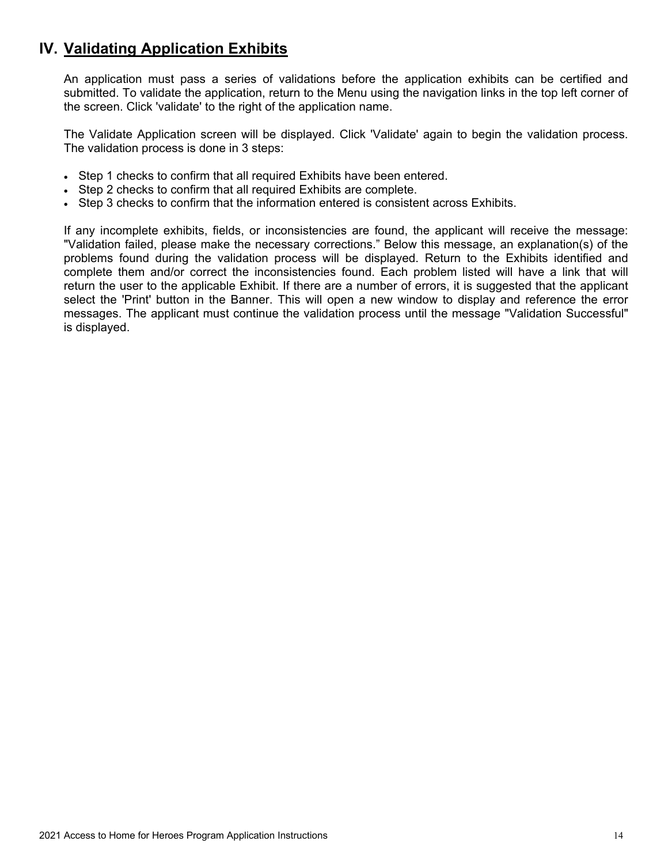# <span id="page-14-0"></span>**IV. Validating Application Exhibits**

An application must pass a series of validations before the application exhibits can be certified and submitted. To validate the application, return to the Menu using the navigation links in the top left corner of the screen. Click 'validate' to the right of the application name.

The Validate Application screen will be displayed. Click 'Validate' again to begin the validation process. The validation process is done in 3 steps:

- Step 1 checks to confirm that all required Exhibits have been entered.
- Step 2 checks to confirm that all required Exhibits are complete.
- Step 3 checks to confirm that the information entered is consistent across Exhibits.

If any incomplete exhibits, fields, or inconsistencies are found, the applicant will receive the message: "Validation failed, please make the necessary corrections." Below this message, an explanation(s) of the problems found during the validation process will be displayed. Return to the Exhibits identified and complete them and/or correct the inconsistencies found. Each problem listed will have a link that will return the user to the applicable Exhibit. If there are a number of errors, it is suggested that the applicant select the 'Print' button in the Banner. This will open a new window to display and reference the error messages. The applicant must continue the validation process until the message "Validation Successful" is displayed.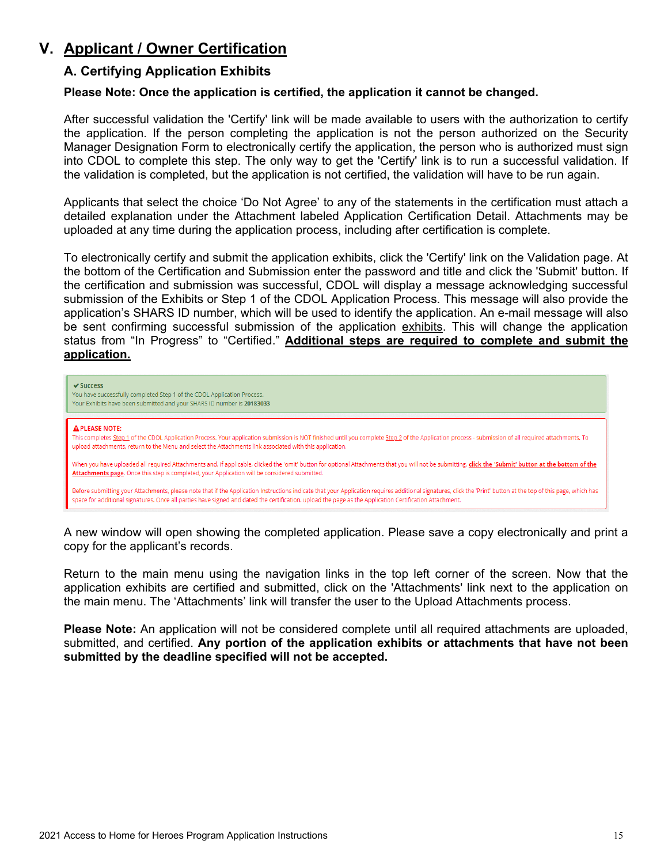# <span id="page-15-1"></span><span id="page-15-0"></span>**V. Applicant / Owner Certification**

# **A. Certifying Application Exhibits**

### **Please Note: Once the application is certified, the application it cannot be changed.**

After successful validation the 'Certify' link will be made available to users with the authorization to certify the application. If the person completing the application is not the person authorized on the Security Manager Designation Form to electronically certify the application, the person who is authorized must sign into CDOL to complete this step. The only way to get the 'Certify' link is to run a successful validation. If the validation is completed, but the application is not certified, the validation will have to be run again.

Applicants that select the choice 'Do Not Agree' to any of the statements in the certification must attach a detailed explanation under the Attachment labeled Application Certification Detail. Attachments may be uploaded at any time during the application process, including after certification is complete.

To electronically certify and submit the application exhibits, click the 'Certify' link on the Validation page. At the bottom of the Certification and Submission enter the password and title and click the 'Submit' button. If the certification and submission was successful, CDOL will display a message acknowledging successful submission of the Exhibits or Step 1 of the CDOL Application Process. This message will also provide the application's SHARS ID number, which will be used to identify the application. An e-mail message will also be sent confirming successful submission of the application exhibits. This will change the application status from "In Progress" to "Certified." **Additional steps are required to complete and submit the application.**



A new window will open showing the completed application. Please save a copy electronically and print a copy for the applicant's records.

Return to the main menu using the navigation links in the top left corner of the screen. Now that the application exhibits are certified and submitted, click on the 'Attachments' link next to the application on the main menu. The 'Attachments' link will transfer the user to the Upload Attachments process.

**Please Note:** An application will not be considered complete until all required attachments are uploaded, submitted, and certified. **Any portion of the application exhibits or attachments that have not been submitted by the deadline specified will not be accepted.**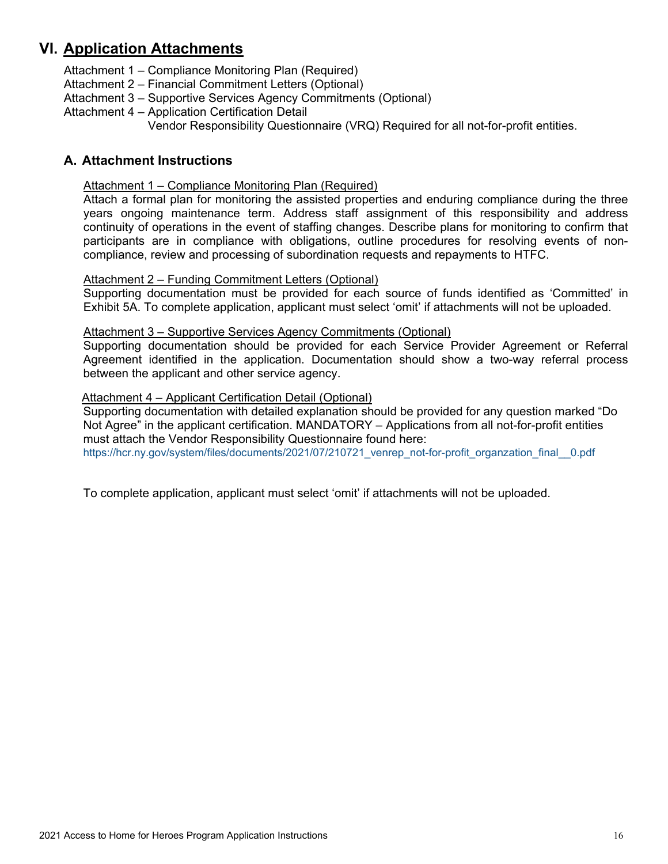# <span id="page-16-0"></span>**VI. Application Attachments**

Attachment 1 – Compliance Monitoring Plan (Required)

Attachment 2 – Financial Commitment Letters (Optional)

- Attachment 3 Supportive Services Agency Commitments (Optional)
- Attachment 4 Application Certification Detail

Vendor Responsibility Questionnaire (VRQ) Required for all not-for-profit entities.

# <span id="page-16-2"></span><span id="page-16-1"></span>**A. Attachment Instructions**

### Attachment 1 – Compliance Monitoring Plan (Required)

Attach a formal plan for monitoring the assisted properties and enduring compliance during the three years ongoing maintenance term. Address staff assignment of this responsibility and address continuity of operations in the event of staffing changes. Describe plans for monitoring to confirm that participants are in compliance with obligations, outline procedures for resolving events of noncompliance, review and processing of subordination requests and repayments to HTFC.

### <span id="page-16-3"></span>Attachment 2 – Funding Commitment Letters (Optional)

Supporting documentation must be provided for each source of funds identified as 'Committed' in Exhibit 5A. To complete application, applicant must select 'omit' if attachments will not be uploaded.

### <span id="page-16-4"></span>Attachment 3 – Supportive Services Agency Commitments (Optional)

Supporting documentation should be provided for each Service Provider Agreement or Referral Agreement identified in the application. Documentation should show a two-way referral process between the applicant and other service agency.

### <span id="page-16-5"></span>Attachment 4 – Applicant Certification Detail (Optional)

Supporting documentation with detailed explanation should be provided for any question marked "Do Not Agree" in the applicant certification. MANDATORY – Applications from all not-for-profit entities must attach the Vendor Responsibility Questionnaire found here:

[https://hcr.ny.gov/system/files/documents/2021/07/210721\\_venrep\\_not-for-profit\\_organzation\\_final\\_\\_0.pdf](https://hcr.ny.gov/system/files/documents/2021/07/210721_venrep_not-for-profit_organzation_final__0.pdf)

To complete application, applicant must select 'omit' if attachments will not be uploaded.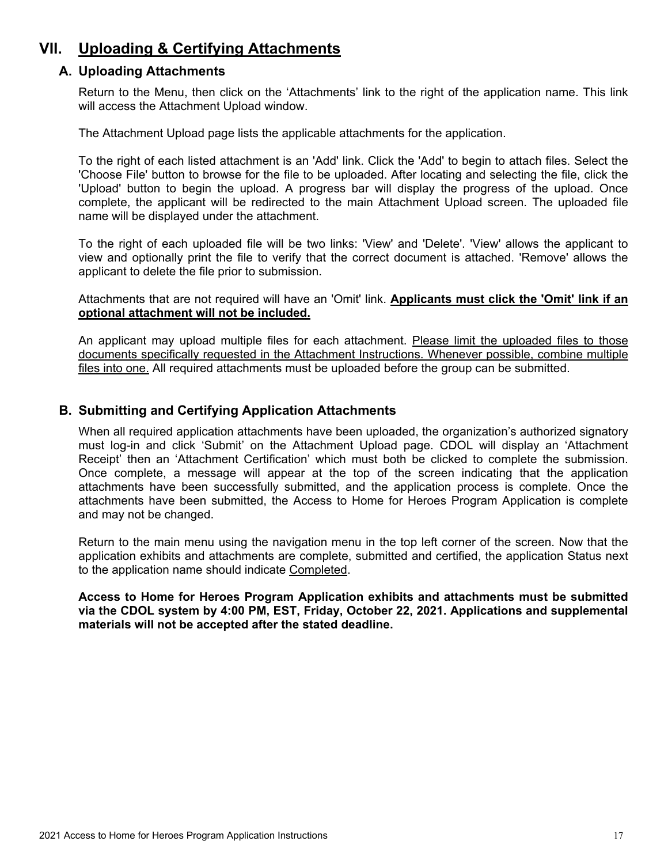# <span id="page-17-1"></span><span id="page-17-0"></span>**VII. Uploading & Certifying Attachments**

## **A. Uploading Attachments**

Return to the Menu, then click on the 'Attachments' link to the right of the application name. This link will access the Attachment Upload window.

The Attachment Upload page lists the applicable attachments for the application.

To the right of each listed attachment is an 'Add' link. Click the 'Add' to begin to attach files. Select the 'Choose File' button to browse for the file to be uploaded. After locating and selecting the file, click the 'Upload' button to begin the upload. A progress bar will display the progress of the upload. Once complete, the applicant will be redirected to the main Attachment Upload screen. The uploaded file name will be displayed under the attachment.

To the right of each uploaded file will be two links: 'View' and 'Delete'. 'View' allows the applicant to view and optionally print the file to verify that the correct document is attached. 'Remove' allows the applicant to delete the file prior to submission.

Attachments that are not required will have an 'Omit' link. **Applicants must click the 'Omit' link if an optional attachment will not be included.**

An applicant may upload multiple files for each attachment. Please limit the uploaded files to those documents specifically requested in the Attachment Instructions. Whenever possible, combine multiple files into one. All required attachments must be uploaded before the group can be submitted.

### <span id="page-17-2"></span>**B. Submitting and Certifying Application Attachments**

When all required application attachments have been uploaded, the organization's authorized signatory must log-in and click 'Submit' on the Attachment Upload page. CDOL will display an 'Attachment Receipt' then an 'Attachment Certification' which must both be clicked to complete the submission. Once complete, a message will appear at the top of the screen indicating that the application attachments have been successfully submitted, and the application process is complete. Once the attachments have been submitted, the Access to Home for Heroes Program Application is complete and may not be changed.

Return to the main menu using the navigation menu in the top left corner of the screen. Now that the application exhibits and attachments are complete, submitted and certified, the application Status next to the application name should indicate Completed.

**Access to Home for Heroes Program Application exhibits and attachments must be submitted via the CDOL system by 4:00 PM, EST, Friday, October 22, 2021. Applications and supplemental materials will not be accepted after the stated deadline.**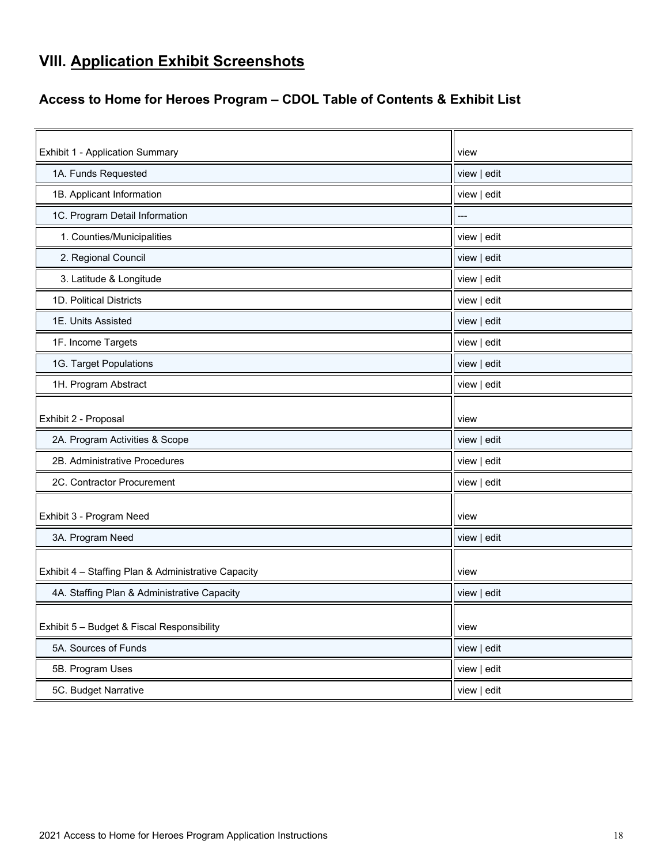# <span id="page-18-0"></span>**VIII. Application Exhibit Screenshots**

# <span id="page-18-1"></span>**Access to Home for Heroes Program – CDOL Table of Contents & Exhibit List**

| <b>Exhibit 1 - Application Summary</b>              | view        |
|-----------------------------------------------------|-------------|
| 1A. Funds Requested                                 | view   edit |
| 1B. Applicant Information                           | view   edit |
| 1C. Program Detail Information                      |             |
| 1. Counties/Municipalities                          | view   edit |
| 2. Regional Council                                 | view   edit |
| 3. Latitude & Longitude                             | view   edit |
| 1D. Political Districts                             | view   edit |
| 1E. Units Assisted                                  | view   edit |
| 1F. Income Targets                                  | view   edit |
| 1G. Target Populations                              | view   edit |
| 1H. Program Abstract                                | view   edit |
|                                                     |             |
| Exhibit 2 - Proposal                                | view        |
| 2A. Program Activities & Scope                      | view   edit |
| 2B. Administrative Procedures                       | view   edit |
| 2C. Contractor Procurement                          | view   edit |
|                                                     |             |
| Exhibit 3 - Program Need                            | view        |
| 3A. Program Need                                    | view   edit |
|                                                     |             |
| Exhibit 4 - Staffing Plan & Administrative Capacity | view        |
| 4A. Staffing Plan & Administrative Capacity         | view   edit |
| Exhibit 5 - Budget & Fiscal Responsibility          | view        |
| 5A. Sources of Funds                                | view   edit |
| 5B. Program Uses                                    | view   edit |
| 5C. Budget Narrative                                | view   edit |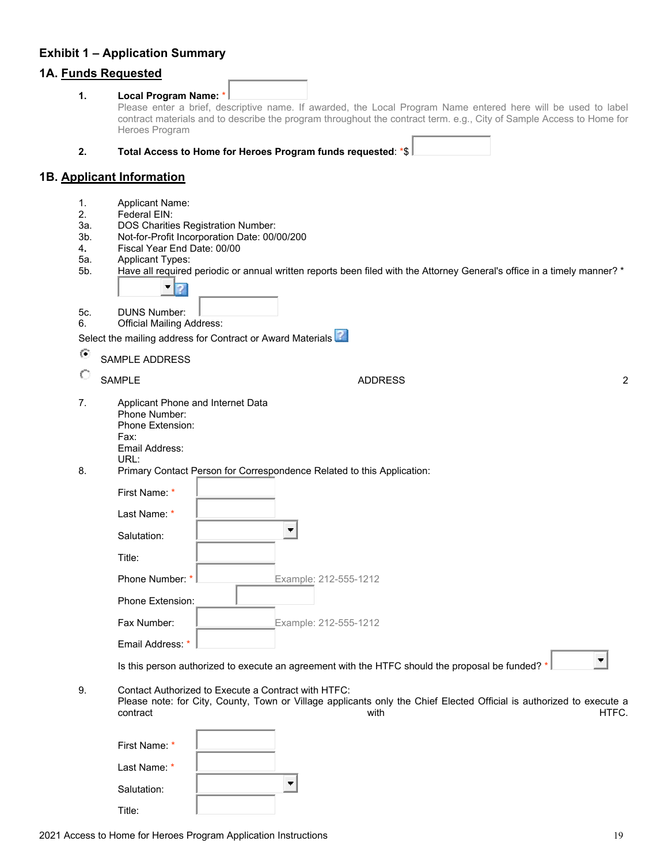# <span id="page-19-0"></span>**Exhibit 1 – Application Summary**

# **1A. Funds Requested**

|            | <u>IA. Fullus Requesteu</u>                                                                                                                                                                     |       |
|------------|-------------------------------------------------------------------------------------------------------------------------------------------------------------------------------------------------|-------|
| 1.         | Local Program Name: *<br>Please enter a brief, descriptive name. If awarded, the Local Program Name entered here will be used to label                                                          |       |
|            | contract materials and to describe the program throughout the contract term. e.g., City of Sample Access to Home for<br>Heroes Program                                                          |       |
| 2.         | Total Access to Home for Heroes Program funds requested: *\$                                                                                                                                    |       |
|            | 1B. Applicant Information                                                                                                                                                                       |       |
| 1.         | Applicant Name:                                                                                                                                                                                 |       |
| 2.         | Federal EIN:                                                                                                                                                                                    |       |
| За.<br>3b. | <b>DOS Charities Registration Number:</b><br>Not-for-Profit Incorporation Date: 00/00/200                                                                                                       |       |
| 4.         | Fiscal Year End Date: 00/00                                                                                                                                                                     |       |
| 5a.        | <b>Applicant Types:</b>                                                                                                                                                                         |       |
| 5b.        | Have all required periodic or annual written reports been filed with the Attorney General's office in a timely manner? *<br>۳<br>Ð                                                              |       |
| 5c.<br>6.  | <b>DUNS Number:</b><br><b>Official Mailing Address:</b>                                                                                                                                         |       |
|            | Select the mailing address for Contract or Award Materials                                                                                                                                      |       |
| $\bullet$  | <b>SAMPLE ADDRESS</b>                                                                                                                                                                           |       |
| O          | <b>SAMPLE</b><br><b>ADDRESS</b>                                                                                                                                                                 | 2     |
| 7.         | Applicant Phone and Internet Data<br>Phone Number:<br>Phone Extension:<br>Fax:<br>Email Address:                                                                                                |       |
| 8.         | URL:<br>Primary Contact Person for Correspondence Related to this Application:                                                                                                                  |       |
|            | First Name: *                                                                                                                                                                                   |       |
|            | Last Name: *                                                                                                                                                                                    |       |
|            | Salutation:                                                                                                                                                                                     |       |
|            | Title:                                                                                                                                                                                          |       |
|            | Phone Number: *<br>Example: 212-555-1212                                                                                                                                                        |       |
|            | Phone Extension:                                                                                                                                                                                |       |
|            | Fax Number:<br>Example: 212-555-1212                                                                                                                                                            |       |
|            | Email Address: *                                                                                                                                                                                |       |
|            | Is this person authorized to execute an agreement with the HTFC should the proposal be funded? *                                                                                                |       |
| 9.         | Contact Authorized to Execute a Contract with HTFC:<br>Please note: for City, County, Town or Village applicants only the Chief Elected Official is authorized to execute a<br>contract<br>with | HTFC. |
|            | First Name: *                                                                                                                                                                                   |       |
|            | Last Name: *                                                                                                                                                                                    |       |
|            | Salutation:                                                                                                                                                                                     |       |

Title: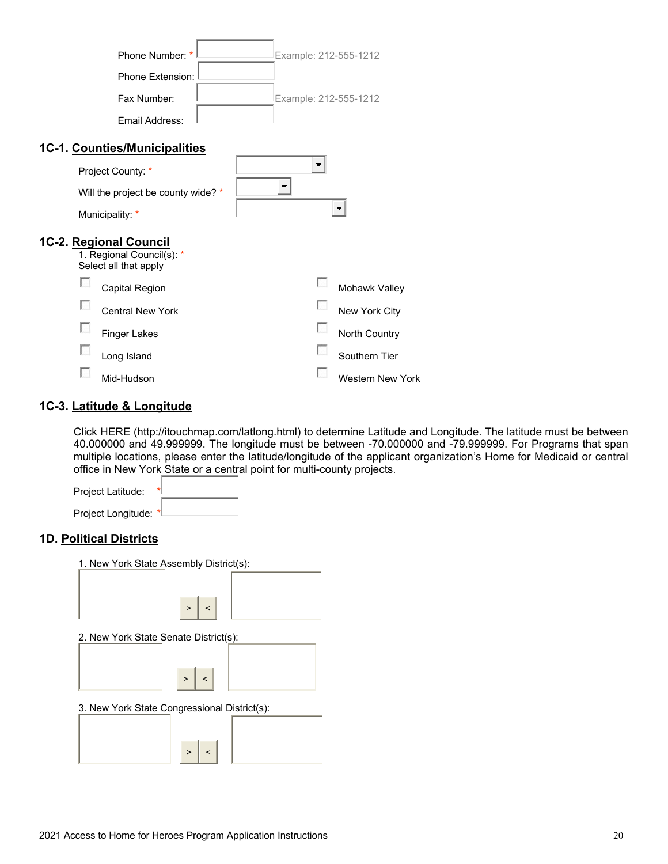| Phone Number: *                                    | Example: 212-555-1212   |
|----------------------------------------------------|-------------------------|
| Phone Extension:                                   |                         |
| Fax Number:                                        | Example: 212-555-1212   |
| Email Address:                                     |                         |
| 1C-1. Counties/Municipalities                      |                         |
| Project County: *                                  | $\blacksquare$          |
| Will the project be county wide? *                 |                         |
| Municipality: *                                    |                         |
| 1C-2. Regional Council                             |                         |
| 1. Regional Council(s): *<br>Select all that apply |                         |
| <b>Capital Region</b>                              | Mohawk Valley           |
| <b>Central New York</b>                            | New York City           |
| <b>Finger Lakes</b>                                | North Country           |
| Long Island                                        | Southern Tier           |
| Mid-Hudson                                         | <b>Western New York</b> |
|                                                    |                         |

#### **1C-3. Latitude & Longitude**

Click HERE (http://itouchmap.com/latlong.html) to determine Latitude and Longitude. The latitude must be between 40.000000 and 49.999999. The longitude must be between -70.000000 and -79.999999. For Programs that span multiple locations, please enter the latitude/longitude of the applicant organization's Home for Medicaid or central office in New York State or a central point for multi-county projects.

Project Latitude: Project Longitude: \*

#### **1D. Political Districts**

| 1. New York State Assembly District(s):      |
|----------------------------------------------|
|                                              |
|                                              |
| $>$ $ $ < $ $                                |
| 2. New York State Senate District(s):        |
|                                              |
|                                              |
| $>$   <                                      |
| 3. New York State Congressional District(s): |
|                                              |
|                                              |
| > 3                                          |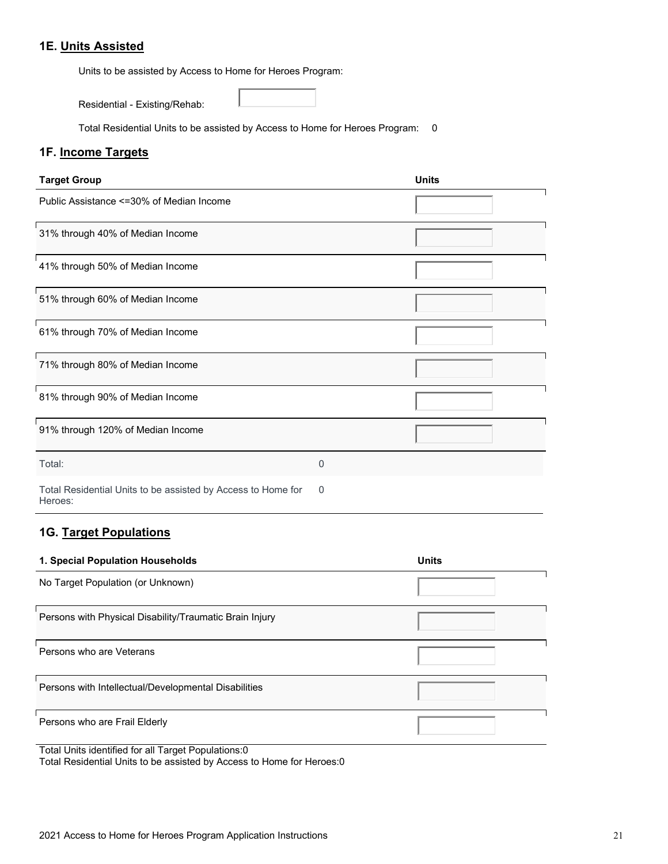### **1E. Units Assisted**

Units to be assisted by Access to Home for Heroes Program:

Residential - Existing/Rehab:

Total Residential Units to be assisted by Access to Home for Heroes Program: 0

# **1F. Income Targets**

| <b>Target Group</b>                                                     | <b>Units</b> |  |
|-------------------------------------------------------------------------|--------------|--|
| Public Assistance <= 30% of Median Income                               |              |  |
| 31% through 40% of Median Income                                        |              |  |
| 41% through 50% of Median Income                                        |              |  |
| 51% through 60% of Median Income                                        |              |  |
| 61% through 70% of Median Income                                        |              |  |
| 71% through 80% of Median Income                                        |              |  |
| 81% through 90% of Median Income                                        |              |  |
| 91% through 120% of Median Income                                       |              |  |
| Total:                                                                  | 0            |  |
| Total Residential Units to be assisted by Access to Home for<br>Heroes: | 0            |  |

# **1G. Target Populations**

| 1. Special Population Households                        | <b>Units</b> |
|---------------------------------------------------------|--------------|
| No Target Population (or Unknown)                       |              |
| Persons with Physical Disability/Traumatic Brain Injury |              |
| Persons who are Veterans                                |              |
| Persons with Intellectual/Developmental Disabilities    |              |
| Persons who are Frail Elderly                           |              |

Total Units identified for all Target Populations:0

Total Residential Units to be assisted by Access to Home for Heroes:0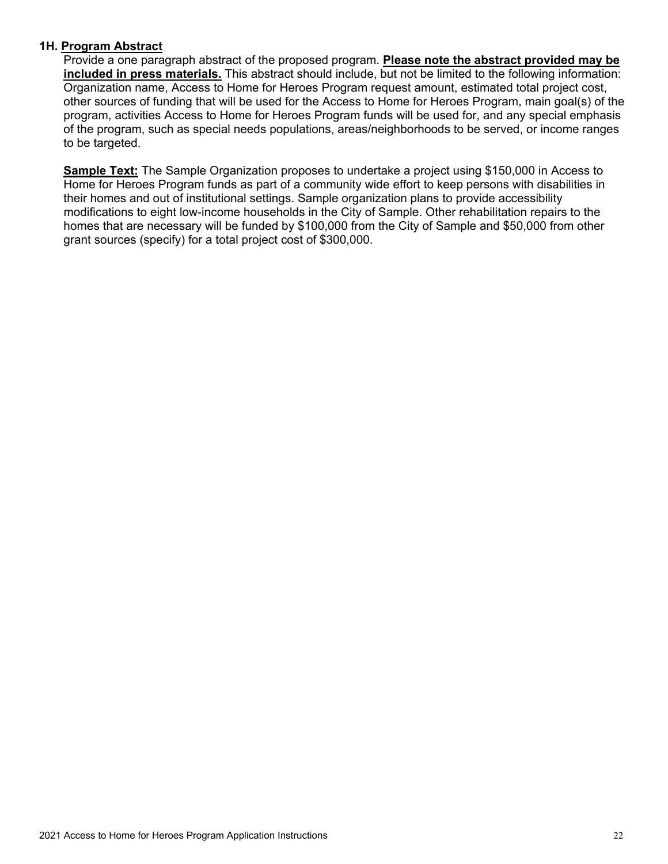### **1H. Program Abstract**

Provide a one paragraph abstract of the proposed program. **Please note the abstract provided may be included in press materials.** This abstract should include, but not be limited to the following information: Organization name, Access to Home for Heroes Program request amount, estimated total project cost, other sources of funding that will be used for the Access to Home for Heroes Program, main goal(s) of the program, activities Access to Home for Heroes Program funds will be used for, and any special emphasis of the program, such as special needs populations, areas/neighborhoods to be served, or income ranges to be targeted.

**Sample Text:** The Sample Organization proposes to undertake a project using \$150,000 in Access to Home for Heroes Program funds as part of a community wide effort to keep persons with disabilities in their homes and out of institutional settings. Sample organization plans to provide accessibility modifications to eight low-income households in the City of Sample. Other rehabilitation repairs to the homes that are necessary will be funded by \$100,000 from the City of Sample and \$50,000 from other grant sources (specify) for a total project cost of \$300,000.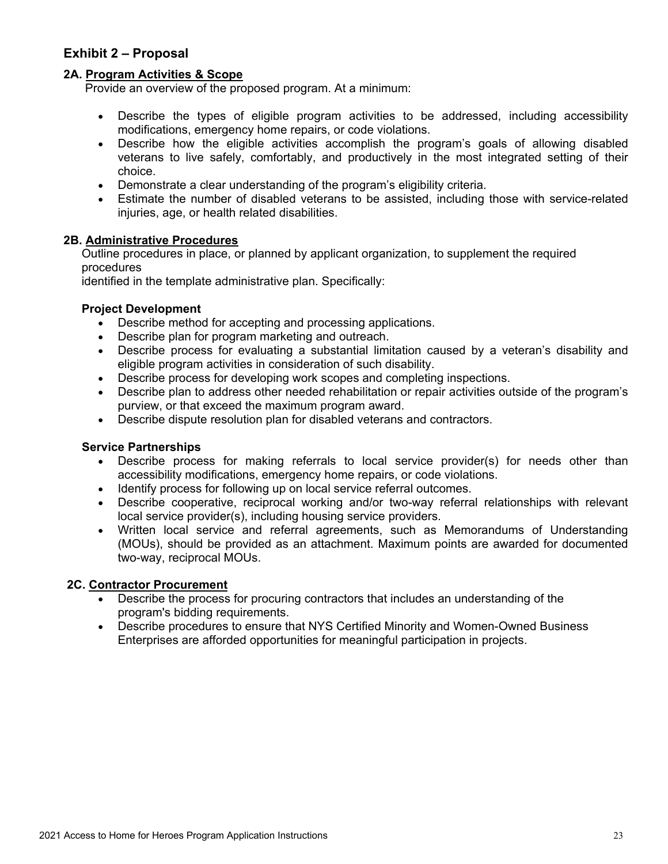# <span id="page-23-0"></span>**Exhibit 2 – Proposal**

### **2A. Program Activities & Scope**

Provide an overview of the proposed program. At a minimum:

- Describe the types of eligible program activities to be addressed, including accessibility modifications, emergency home repairs, or code violations.
- Describe how the eligible activities accomplish the program's goals of allowing disabled veterans to live safely, comfortably, and productively in the most integrated setting of their choice.
- Demonstrate a clear understanding of the program's eligibility criteria.
- Estimate the number of disabled veterans to be assisted, including those with service-related injuries, age, or health related disabilities.

### **2B. Administrative Procedures**

Outline procedures in place, or planned by applicant organization, to supplement the required procedures

identified in the template administrative plan. Specifically:

### **Project Development**

- Describe method for accepting and processing applications.
- Describe plan for program marketing and outreach.
- Describe process for evaluating a substantial limitation caused by a veteran's disability and eligible program activities in consideration of such disability.
- Describe process for developing work scopes and completing inspections.
- Describe plan to address other needed rehabilitation or repair activities outside of the program's purview, or that exceed the maximum program award.
- Describe dispute resolution plan for disabled veterans and contractors.

### **Service Partnerships**

- Describe process for making referrals to local service provider(s) for needs other than accessibility modifications, emergency home repairs, or code violations.
- Identify process for following up on local service referral outcomes.
- Describe cooperative, reciprocal working and/or two-way referral relationships with relevant local service provider(s), including housing service providers.
- Written local service and referral agreements, such as Memorandums of Understanding (MOUs), should be provided as an attachment. Maximum points are awarded for documented two-way, reciprocal MOUs.

### **2C. Contractor Procurement**

- Describe the process for procuring contractors that includes an understanding of the program's bidding requirements.
- Describe procedures to ensure that NYS Certified Minority and Women-Owned Business Enterprises are afforded opportunities for meaningful participation in projects.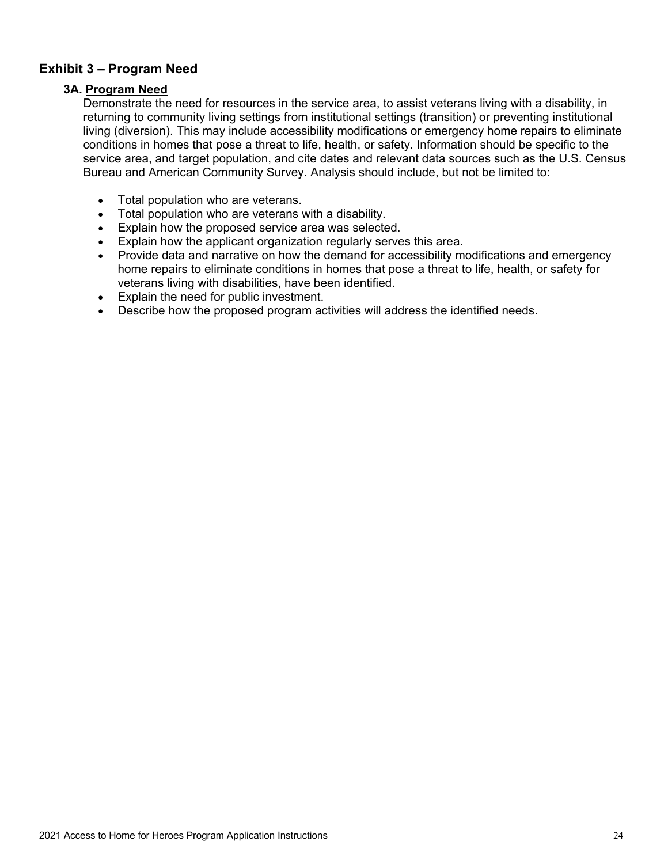# <span id="page-24-0"></span>**Exhibit 3 – Program Need**

### **3A. Program Need**

Demonstrate the need for resources in the service area, to assist veterans living with a disability, in returning to community living settings from institutional settings (transition) or preventing institutional living (diversion). This may include accessibility modifications or emergency home repairs to eliminate conditions in homes that pose a threat to life, health, or safety. Information should be specific to the service area, and target population, and cite dates and relevant data sources such as the U.S. Census Bureau and American Community Survey. Analysis should include, but not be limited to:

- Total population who are veterans.
- Total population who are veterans with a disability.
- Explain how the proposed service area was selected.
- Explain how the applicant organization regularly serves this area.
- Provide data and narrative on how the demand for accessibility modifications and emergency home repairs to eliminate conditions in homes that pose a threat to life, health, or safety for veterans living with disabilities, have been identified.
- Explain the need for public investment.
- Describe how the proposed program activities will address the identified needs.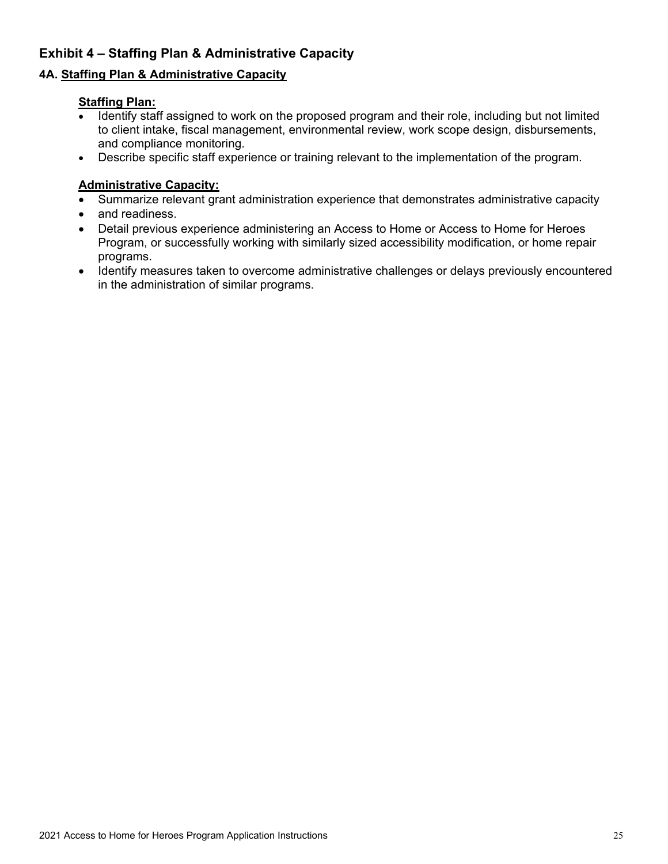# <span id="page-25-0"></span>**Exhibit 4 – Staffing Plan & Administrative Capacity**

# **4A. Staffing Plan & Administrative Capacity**

### **Staffing Plan:**

- Identify staff assigned to work on the proposed program and their role, including but not limited to client intake, fiscal management, environmental review, work scope design, disbursements, and compliance monitoring.
- Describe specific staff experience or training relevant to the implementation of the program.

### **Administrative Capacity:**

- Summarize relevant grant administration experience that demonstrates administrative capacity
- and readiness.
- Detail previous experience administering an Access to Home or Access to Home for Heroes Program, or successfully working with similarly sized accessibility modification, or home repair programs.
- Identify measures taken to overcome administrative challenges or delays previously encountered in the administration of similar programs.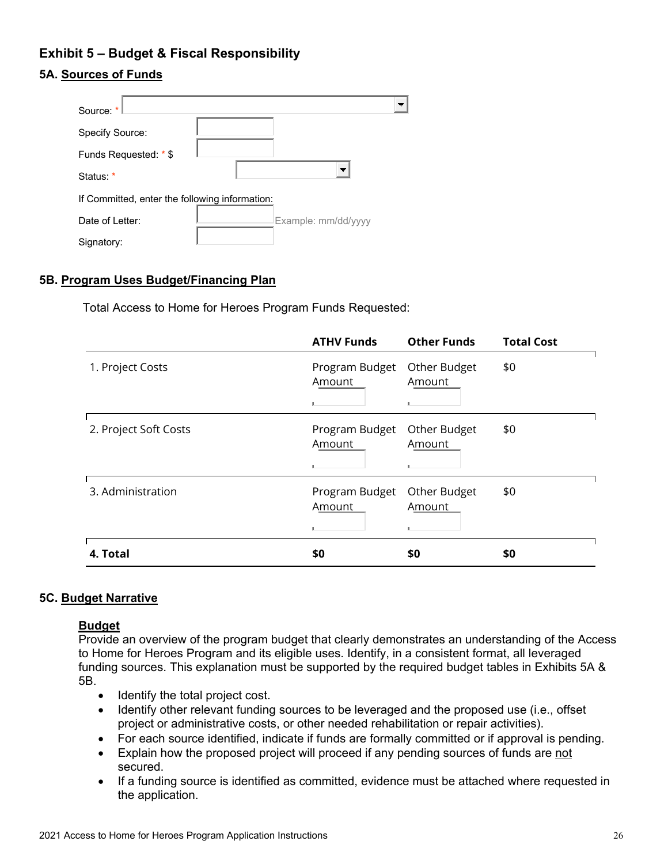# <span id="page-26-0"></span>**Exhibit 5 – Budget & Fiscal Responsibility**

# **5A. Sources of Funds**

| Source: *                                      |                          |  |
|------------------------------------------------|--------------------------|--|
| Specify Source:                                |                          |  |
| Funds Requested: * \$                          |                          |  |
| Status: *                                      | $\overline{\phantom{a}}$ |  |
| If Committed, enter the following information: |                          |  |
| Date of Letter:                                | Example: mm/dd/yyyy      |  |
| Signatory:                                     |                          |  |

### **5B. Program Uses Budget/Financing Plan**

Total Access to Home for Heroes Program Funds Requested:

|                       | <b>ATHV Funds</b>        | <b>Other Funds</b>     | <b>Total Cost</b> |
|-----------------------|--------------------------|------------------------|-------------------|
| 1. Project Costs      | Program Budget<br>Amount | Other Budget<br>Amount | \$0               |
| 2. Project Soft Costs | Program Budget<br>Amount | Other Budget<br>Amount | \$0               |
| 3. Administration     | Program Budget<br>Amount | Other Budget<br>Amount | \$0               |
| 4. Total              | \$0                      | \$0                    | \$0               |

#### **5C. Budget Narrative**

### **Budget**

Provide an overview of the program budget that clearly demonstrates an understanding of the Access to Home for Heroes Program and its eligible uses. Identify, in a consistent format, all leveraged funding sources. This explanation must be supported by the required budget tables in Exhibits 5A & 5B.

- Identify the total project cost.
- Identify other relevant funding sources to be leveraged and the proposed use (i.e., offset project or administrative costs, or other needed rehabilitation or repair activities).
- For each source identified, indicate if funds are formally committed or if approval is pending.
- Explain how the proposed project will proceed if any pending sources of funds are not secured.
- If a funding source is identified as committed, evidence must be attached where requested in the application.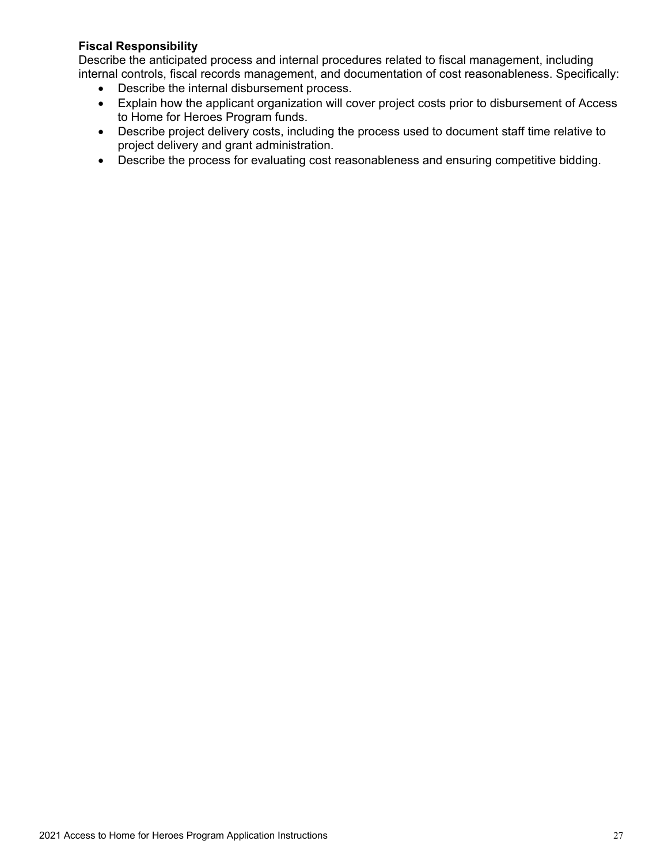### **Fiscal Responsibility**

Describe the anticipated process and internal procedures related to fiscal management, including internal controls, fiscal records management, and documentation of cost reasonableness. Specifically:

- Describe the internal disbursement process.
- Explain how the applicant organization will cover project costs prior to disbursement of Access to Home for Heroes Program funds.
- Describe project delivery costs, including the process used to document staff time relative to project delivery and grant administration.
- Describe the process for evaluating cost reasonableness and ensuring competitive bidding.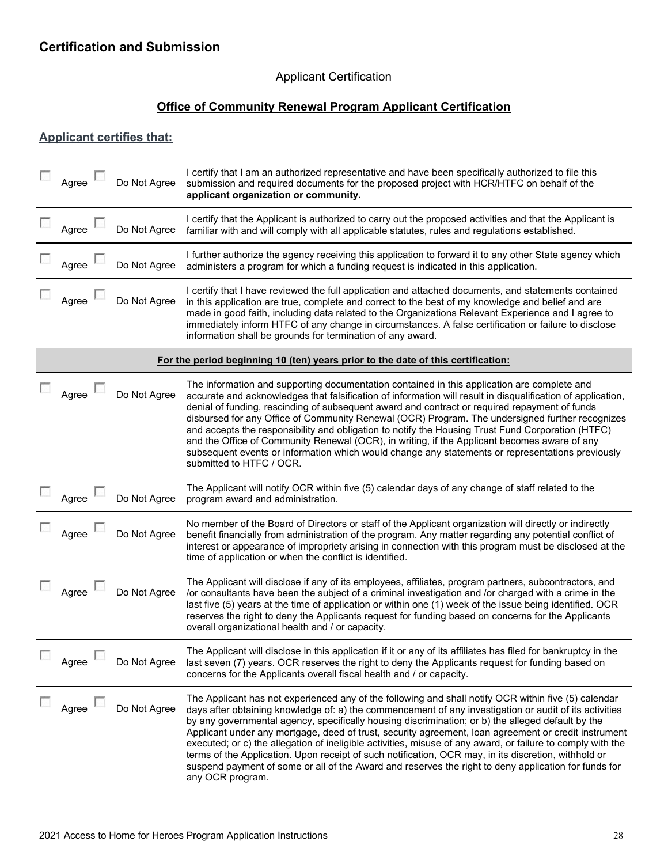### Applicant Certification

# **Office of Community Renewal Program Applicant Certification**

### <span id="page-28-0"></span>**Applicant certifies that:**

| Agree | Do Not Agree | I certify that I am an authorized representative and have been specifically authorized to file this<br>submission and required documents for the proposed project with HCR/HTFC on behalf of the<br>applicant organization or community.                                                                                                                                                                                                                                                                                                                                                                                                                                                                                                                                       |
|-------|--------------|--------------------------------------------------------------------------------------------------------------------------------------------------------------------------------------------------------------------------------------------------------------------------------------------------------------------------------------------------------------------------------------------------------------------------------------------------------------------------------------------------------------------------------------------------------------------------------------------------------------------------------------------------------------------------------------------------------------------------------------------------------------------------------|
| Agree | Do Not Agree | I certify that the Applicant is authorized to carry out the proposed activities and that the Applicant is<br>familiar with and will comply with all applicable statutes, rules and regulations established.                                                                                                                                                                                                                                                                                                                                                                                                                                                                                                                                                                    |
| Agree | Do Not Agree | I further authorize the agency receiving this application to forward it to any other State agency which<br>administers a program for which a funding request is indicated in this application.                                                                                                                                                                                                                                                                                                                                                                                                                                                                                                                                                                                 |
| Agree | Do Not Agree | I certify that I have reviewed the full application and attached documents, and statements contained<br>in this application are true, complete and correct to the best of my knowledge and belief and are<br>made in good faith, including data related to the Organizations Relevant Experience and I agree to<br>immediately inform HTFC of any change in circumstances. A false certification or failure to disclose<br>information shall be grounds for termination of any award.                                                                                                                                                                                                                                                                                          |
|       |              | For the period beginning 10 (ten) years prior to the date of this certification:                                                                                                                                                                                                                                                                                                                                                                                                                                                                                                                                                                                                                                                                                               |
| Agree | Do Not Agree | The information and supporting documentation contained in this application are complete and<br>accurate and acknowledges that falsification of information will result in disqualification of application,<br>denial of funding, rescinding of subsequent award and contract or required repayment of funds<br>disbursed for any Office of Community Renewal (OCR) Program. The undersigned further recognizes<br>and accepts the responsibility and obligation to notify the Housing Trust Fund Corporation (HTFC)<br>and the Office of Community Renewal (OCR), in writing, if the Applicant becomes aware of any<br>subsequent events or information which would change any statements or representations previously<br>submitted to HTFC / OCR.                            |
| Agree | Do Not Agree | The Applicant will notify OCR within five (5) calendar days of any change of staff related to the<br>program award and administration.                                                                                                                                                                                                                                                                                                                                                                                                                                                                                                                                                                                                                                         |
| Agree | Do Not Agree | No member of the Board of Directors or staff of the Applicant organization will directly or indirectly<br>benefit financially from administration of the program. Any matter regarding any potential conflict of<br>interest or appearance of impropriety arising in connection with this program must be disclosed at the<br>time of application or when the conflict is identified.                                                                                                                                                                                                                                                                                                                                                                                          |
| Agree | Do Not Agree | The Applicant will disclose if any of its employees, affiliates, program partners, subcontractors, and<br>or consultants have been the subject of a criminal investigation and /or charged with a crime in the<br>last five (5) years at the time of application or within one (1) week of the issue being identified. OCR<br>reserves the right to deny the Applicants request for funding based on concerns for the Applicants<br>overall organizational health and / or capacity.                                                                                                                                                                                                                                                                                           |
| Agree | Do Not Agree | The Applicant will disclose in this application if it or any of its affiliates has filed for bankruptcy in the<br>last seven (7) years. OCR reserves the right to deny the Applicants request for funding based on<br>concerns for the Applicants overall fiscal health and / or capacity.                                                                                                                                                                                                                                                                                                                                                                                                                                                                                     |
| Agree | Do Not Agree | The Applicant has not experienced any of the following and shall notify OCR within five (5) calendar<br>days after obtaining knowledge of: a) the commencement of any investigation or audit of its activities<br>by any governmental agency, specifically housing discrimination; or b) the alleged default by the<br>Applicant under any mortgage, deed of trust, security agreement, loan agreement or credit instrument<br>executed; or c) the allegation of ineligible activities, misuse of any award, or failure to comply with the<br>terms of the Application. Upon receipt of such notification, OCR may, in its discretion, withhold or<br>suspend payment of some or all of the Award and reserves the right to deny application for funds for<br>any OCR program. |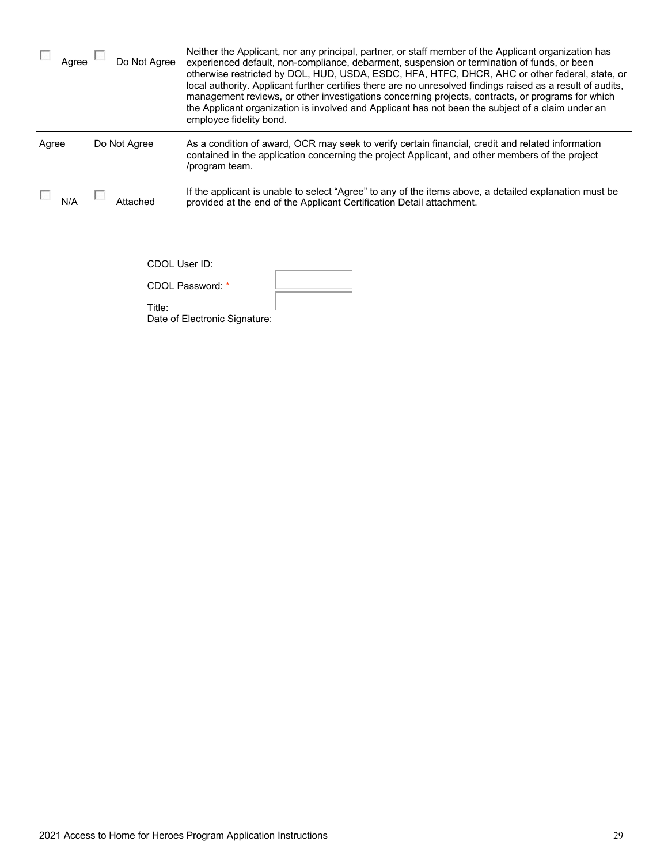| Aaree | Do Not Agree | Neither the Applicant, nor any principal, partner, or staff member of the Applicant organization has<br>experienced default, non-compliance, debarment, suspension or termination of funds, or been<br>otherwise restricted by DOL, HUD, USDA, ESDC, HFA, HTFC, DHCR, AHC or other federal, state, or<br>local authority. Applicant further certifies there are no unresolved findings raised as a result of audits,<br>management reviews, or other investigations concerning projects, contracts, or programs for which<br>the Applicant organization is involved and Applicant has not been the subject of a claim under an<br>employee fidelity bond. |
|-------|--------------|-----------------------------------------------------------------------------------------------------------------------------------------------------------------------------------------------------------------------------------------------------------------------------------------------------------------------------------------------------------------------------------------------------------------------------------------------------------------------------------------------------------------------------------------------------------------------------------------------------------------------------------------------------------|
| Agree | Do Not Agree | As a condition of award, OCR may seek to verify certain financial, credit and related information<br>contained in the application concerning the project Applicant, and other members of the project<br>/program team.                                                                                                                                                                                                                                                                                                                                                                                                                                    |
|       |              | If the applicant is unable to select "Agree" to any of the items above, a detailed explanation must be<br>provided at the end of the Applicant Certification Detail attachment.                                                                                                                                                                                                                                                                                                                                                                                                                                                                           |

CDOL User ID:

| 000 - 000 - 1 <b>0</b> |  |
|------------------------|--|
| CDOL Password: *       |  |
| Tith                   |  |

Title: Date of Electronic Signature: